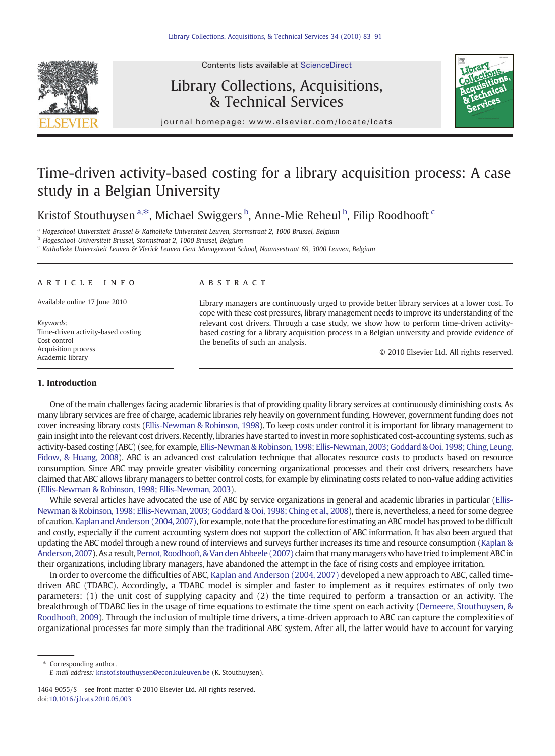

Contents lists available at ScienceDirect

## Library Collections, Acquisitions, & Technical Services



journal homepage: www.elsevier.com/locate/lcats/lcats/lcats/lcats/lcats/lcats/lcats/lcats/lcats/lcats/lcats/lcats/lcats/lcats/lcats/lcats/lcats/lcats/lcats/lcats/lcats/lcats/lcats/lcats/lcats/lcats/lcats/lcats/lcats/lcats

# Time-driven activity-based costing for a library acquisition process: A case study in a Belgian University

Kristof Stouthuysen<sup>a,\*</sup>, Michael Swiggers <sup>b</sup>, Anne-Mie Reheul <sup>b</sup>, Filip Roodhooft <sup>c</sup>

<sup>a</sup> Hogeschool-Universiteit Brussel & Katholieke Universiteit Leuven, Stormstraat 2, 1000 Brussel, Belgium

<sup>b</sup> Hogeschool-Universiteit Brussel, Stormstraat 2, 1000 Brussel, Belgium

<sup>c</sup> Katholieke Universiteit Leuven & Vlerick Leuven Gent Management School, Naamsestraat 69, 3000 Leuven, Belgium

### article info abstract

Keywords: Time-driven activity-based costing Cost control Acquisition process Academic library

Available online 17 June 2010 Library managers are continuously urged to provide better library services at a lower cost. To cope with these cost pressures, library management needs to improve its understanding of the relevant cost drivers. Through a case study, we show how to perform time-driven activitybased costing for a library acquisition process in a Belgian university and provide evidence of the benefits of such an analysis.

© 2010 Elsevier Ltd. All rights reserved.

#### 1. Introduction

One of the main challenges facing academic libraries is that of providing quality library services at continuously diminishing costs. As many library services are free of charge, academic libraries rely heavily on government funding. However, government funding does not cover increasing library costs ([Ellis-Newman & Robinson, 1998](#page--1-0)). To keep costs under control it is important for library management to gain insight into the relevant cost drivers. Recently, libraries have started to invest in more sophisticated cost-accounting systems, such as activity-based costing (ABC) (see, for example, [Ellis-Newman & Robinson, 1998; Ellis-Newman, 2003; Goddard & Ooi, 1998; Ching, Leung,](#page--1-0) [Fidow, & Huang, 2008](#page--1-0)). ABC is an advanced cost calculation technique that allocates resource costs to products based on resource consumption. Since ABC may provide greater visibility concerning organizational processes and their cost drivers, researchers have claimed that ABC allows library managers to better control costs, for example by eliminating costs related to non-value adding activities [\(Ellis-Newman & Robinson,](#page--1-0) 1998; Ellis-Newman, 2003).

While several articles have advocated the use of ABC by service organizations in general and academic libraries in particular [\(Ellis-](#page--1-0)Newman & Robinson, 1998; Ellis-Newman, [2003; Goddard & Ooi, 1998; Ching et al., 2008\)](#page--1-0), there is, nevertheless, a need for some degree of caution.[Kaplan and Anderson \(2004, 2007\),](#page--1-0) for example, note that the procedure for estimating an ABC model has proved to be difficult and costly, especially if the current accounting system does not support the collection of ABC information. It has also been argued that updating the ABC model through a new round of interviews and surveys further increases its time and resource consumption ([Kaplan &](#page--1-0) [Anderson, 2007](#page--1-0)). As a result, [Pernot, Roodhooft, & Van den Abbeele \(2007\)](#page--1-0) claim thatmanymanagers who have tried toimplement ABCin their organizations, including library managers, have abandoned the attempt in the face of rising costs and employee irritation.

In order to overcome the difficulties of ABC, [Kaplan and Anderson \(2004, 2007\)](#page--1-0) developed a new approach to ABC, called timedriven ABC (TDABC). Accordingly, a TDABC model is simpler and faster to implement as it requires estimates of only two parameters: (1) the unit cost of supplying capacity and (2) the time required to perform a transaction or an activity. The breakthrough of TDABC lies in the usage of time equations to estimate the time spent on each activity ([Demeere, Stouthuysen, &](#page--1-0) [Roodhooft, 2009\)](#page--1-0). Through the inclusion of multiple time drivers, a time-driven approach to ABC can capture the complexities of organizational processes far more simply than the traditional ABC system. After all, the latter would have to account for varying

⁎ Corresponding author. E-mail address: [kristof.stouthuysen@econ.kuleuven.be](mailto:kristof.stouthuysen@econ.kuleuven.be) (K. Stouthuysen).

<sup>1464-9055/\$</sup> – see front matter © 2010 Elsevier Ltd. All rights reserved. doi[:10.1016/j.lcats.2010.05.003](http://dx.doi.org/10.1016/j.lcats.2010.05.003)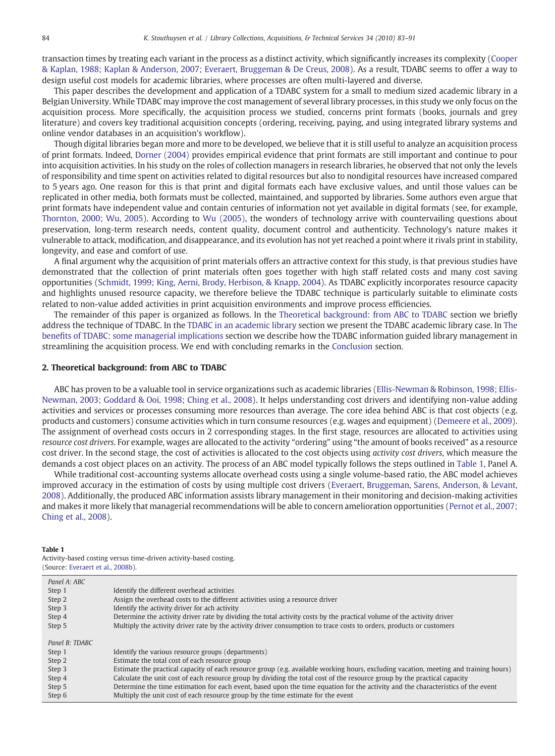transaction times by treating each variant in the process as a distinct activity, which significantly increases its complexity ([Cooper](#page--1-0) [& Kaplan, 1988; Kaplan & Anderson, 2007; Everaert, Bruggeman & De Creus, 2008\)](#page--1-0). As a result, TDABC seems to offer a way to design useful cost models for academic libraries, where processes are often multi-layered and diverse.

This paper describes the development and application of a TDABC system for a small to medium sized academic library in a Belgian University. While TDABC may improve the cost management of several library processes, in this study we only focus on the acquisition process. More specifically, the acquisition process we studied, concerns print formats (books, journals and grey literature) and covers key traditional acquisition concepts (ordering, receiving, paying, and using integrated library systems and online vendor databases in an acquisition's workflow).

Though digital libraries began more and more to be developed, we believe that it is still useful to analyze an acquisition process of print formats. Indeed, [Dorner \(2004\)](#page--1-0) provides empirical evidence that print formats are still important and continue to pour into acquisition activities. In his study on the roles of collection managers in research libraries, he observed that not only the levels of responsibility and time spent on activities related to digital resources but also to nondigital resources have increased compared to 5 years ago. One reason for this is that print and digital formats each have exclusive values, and until those values can be replicated in other media, both formats must be collected, maintained, and supported by libraries. Some authors even argue that print formats have independent value and contain centuries of information not yet available in digital formats (see, for example, [Thornton, 2000; Wu, 2005](#page--1-0)). According to [Wu \(2005\)](#page--1-0), the wonders of technology arrive with countervailing questions about preservation, long-term research needs, content quality, document control and authenticity. Technology's nature makes it vulnerable to attack, modification, and disappearance, and its evolution has not yet reached a point where it rivals print in stability, longevity, and ease and comfort of use.

A final argument why the acquisition of print materials offers an attractive context for this study, is that previous studies have demonstrated that the collection of print materials often goes together with high staff related costs and many cost saving opportunities [\(Schmidt, 1999; King, Aerni, Brody, Herbison, & Knapp, 2004\)](#page--1-0). As TDABC explicitly incorporates resource capacity and highlights unused resource capacity, we therefore believe the TDABC technique is particularly suitable to eliminate costs related to non-value added activities in print acquisition environments and improve process efficiencies.

The remainder of this paper is organized as follows. In the Theoretical background: from ABC to TDABC section we briefly address the technique of TDABC. In the [TDABC in an academic library](#page--1-0) section we present the TDABC academic library case. In [The](#page--1-0) benefi[ts of TDABC: some managerial implications](#page--1-0) section we describe how the TDABC information guided library management in streamlining the acquisition process. We end with concluding remarks in the [Conclusion](#page--1-0) section.

#### 2. Theoretical background: from ABC to TDABC

ABC has proven to be a valuable tool in service organizations such as academic libraries [\(Ellis-Newman & Robinson, 1998; Ellis-](#page--1-0)[Newman, 2003; Goddard & Ooi, 1998; Ching et al., 2008](#page--1-0)). It helps understanding cost drivers and identifying non-value adding activities and services or processes consuming more resources than average. The core idea behind ABC is that cost objects (e.g. products and customers) consume activities which in turn consume resources (e.g. wages and equipment) ([Demeere et al., 2009](#page--1-0)). The assignment of overhead costs occurs in 2 corresponding stages. In the first stage, resources are allocated to activities using resource cost drivers. For example, wages are allocated to the activity "ordering" using "the amount of books received" as a resource cost driver. In the second stage, the cost of activities is allocated to the cost objects using activity cost drivers, which measure the demands a cost object places on an activity. The process of an ABC model typically follows the steps outlined in Table 1, Panel A.

While traditional cost-accounting systems allocate overhead costs using a single volume-based ratio, the ABC model achieves improved accuracy in the estimation of costs by using multiple cost drivers ([Everaert, Bruggeman, Sarens, Anderson, & Levant,](#page--1-0) [2008](#page--1-0)). Additionally, the produced ABC information assists library management in their monitoring and decision-making activities and makes it more likely that managerial recommendations will be able to concern amelioration opportunities ([Pernot et al., 2007;](#page--1-0) [Ching et al., 2008\)](#page--1-0).

#### Table 1

Activity-based costing versus time-driven activity-based costing. (Source: [Everaert et al., 2008b\)](#page--1-0).

| Panel A: ABC   |                                                                                                                                       |
|----------------|---------------------------------------------------------------------------------------------------------------------------------------|
| Step 1         | Identify the different overhead activities                                                                                            |
| Step 2         | Assign the overhead costs to the different activities using a resource driver                                                         |
| Step 3         | Identify the activity driver for ach activity                                                                                         |
| Step 4         | Determine the activity driver rate by dividing the total activity costs by the practical volume of the activity driver                |
| Step 5         | Multiply the activity driver rate by the activity driver consumption to trace costs to orders, products or customers                  |
|                |                                                                                                                                       |
| Panel B: TDABC |                                                                                                                                       |
| Step 1         | Identify the various resource groups (departments)                                                                                    |
| Step 2         | Estimate the total cost of each resource group                                                                                        |
| Step 3         | Estimate the practical capacity of each resource group (e.g. available working hours, excluding vacation, meeting and training hours) |
| Step 4         | Calculate the unit cost of each resource group by dividing the total cost of the resource group by the practical capacity             |
| Step 5         | Determine the time estimation for each event, based upon the time equation for the activity and the characteristics of the event      |
| Step 6         | Multiply the unit cost of each resource group by the time estimate for the event                                                      |